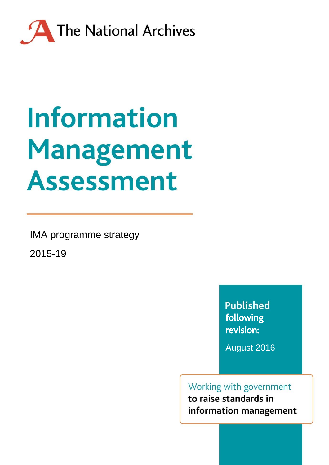

# **Information** Management **Assessment**

IMA programme strategy

2015-19

**Published** following revision:

August 2016

Working with government to raise standards in information management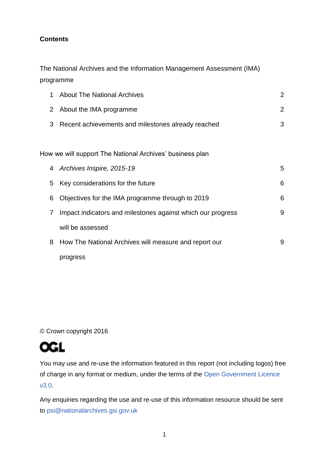#### **Contents**

The National Archives and the Information Management Assessment (IMA) programme

| 1                     | <b>About The National Archives</b>                          | 2 |
|-----------------------|-------------------------------------------------------------|---|
| $\mathbf{2}^{\prime}$ | About the IMA programme                                     | 2 |
| 3                     | Recent achievements and milestones already reached          | 3 |
|                       |                                                             |   |
|                       | How we will support The National Archives' business plan    |   |
| 4                     | Archives Inspire, 2015-19                                   | 5 |
| 5                     | Key considerations for the future                           | 6 |
| 6                     | Objectives for the IMA programme through to 2019            | 6 |
| 7                     | Impact indicators and milestones against which our progress | 9 |
|                       | will be assessed                                            |   |
| 8                     | How The National Archives will measure and report our       | 9 |
|                       | progress                                                    |   |

© Crown copyright 2016



You may use and re-use the information featured in this report (not including logos) free of charge in any format or medium, under the terms of the [Open Government Licence](http://www.nationalarchives.gov.uk/doc/open-government-licence/version/3/)  [v3.0.](http://www.nationalarchives.gov.uk/doc/open-government-licence/version/3/)

Any enquiries regarding the use and re-use of this information resource should be sent to [psi@nationalarchives.gsi.gov.uk](mailto:psi@nationalarchives.gsi.gov.uk)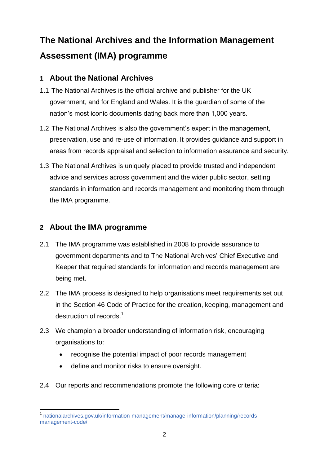# **The National Archives and the Information Management Assessment (IMA) programme**

# **1 About the National Archives**

- 1.1 The National Archives is the official archive and publisher for the UK government, and for England and Wales. It is the guardian of some of the nation's most iconic documents dating back more than 1,000 years.
- 1.2 The National Archives is also the government's expert in the management, preservation, use and re-use of information. It provides guidance and support in areas from records appraisal and selection to information assurance and security.
- 1.3 The National Archives is uniquely placed to provide trusted and independent advice and services across government and the wider public sector, setting standards in information and records management and monitoring them through the IMA programme.

# **2 About the IMA programme**

- 2.1 The IMA programme was established in 2008 to provide assurance to government departments and to The National Archives' Chief Executive and Keeper that required standards for information and records management are being met.
- 2.2 The IMA process is designed to help organisations meet requirements set out in the [Section 46 Code of Practice](http://www.justice.gov.uk/information-access-rights/foi-guidance-for-practitioners/code-of-practice) for the creation, keeping, management and destruction of records.<sup>1</sup>
- 2.3 We champion a broader understanding of information risk, encouraging organisations to:
	- recognise the potential impact of poor records management
	- define and monitor risks to ensure oversight.
- 2.4 Our reports and recommendations promote the following core criteria:

**<sup>.</sup>** 1 [nationalarchives.gov.uk/information-management/manage-information/planning/records](http://www.nationalarchives.gov.uk/information-management/manage-information/planning/records-management-code/)[management-code/](http://www.nationalarchives.gov.uk/information-management/manage-information/planning/records-management-code/)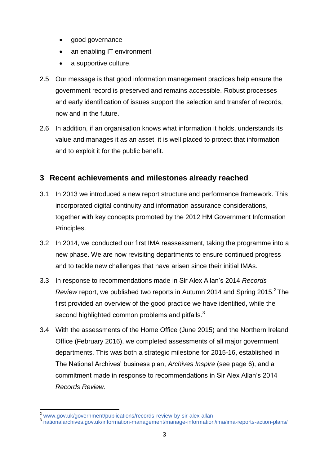- good governance
- an enabling IT environment
- a supportive culture.
- 2.5 Our message is that good information management practices help ensure the government record is preserved and remains accessible. Robust processes and early identification of issues support the selection and transfer of records, now and in the future.
- 2.6 In addition, if an organisation knows what information it holds, understands its value and manages it as an asset, it is well placed to protect that information and to exploit it for the public benefit.

# **3 Recent achievements and milestones already reached**

- 3.1 In 2013 we introduced a new report structure and performance framework. This incorporated digital continuity and information assurance considerations, together with key concepts promoted by the 2012 HM Government Information Principles.
- 3.2 In 2014, we conducted our first IMA reassessment, taking the programme into a new phase. We are now revisiting departments to ensure continued progress and to tackle new challenges that have arisen since their initial IMAs.
- 3.3 In response to recommendations made in Sir Alex Allan's 2014 *Records Review* report, we published two reports in Autumn 2014 and Spring 2015.<sup>2</sup> The first provided an overview of the good practice we have identified, while the second highlighted common problems and pitfalls.<sup>3</sup>
- 3.4 With the assessments of the Home Office (June 2015) and the Northern Ireland Office (February 2016), we completed assessments of all major government departments. This was both a strategic milestone for 2015-16, established in The National Archives' business plan, *Archives Inspire* (see page 6), and a commitment made in response to recommendations in Sir Alex Allan's 2014 *Records Review*.

**<sup>.</sup>** 

<sup>&</sup>lt;sup>2</sup> [www.gov.uk/government/publications/records-review-by-sir-alex-allan](http://www.gov.uk/government/publications/records-review-by-sir-alex-allan)<br><sup>3</sup> [nationalarchives.gov.uk/information-management/manage-information/ima/ima-reports-action-plans/](http://www.nationalarchives.gov.uk/information-management/manage-information/ima/ima-reports-action-plans/)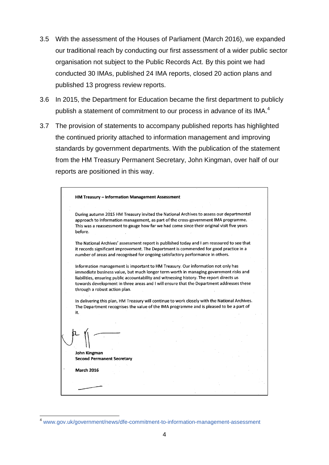- 3.5 With the assessment of the Houses of Parliament (March 2016), we expanded our traditional reach by conducting our first assessment of a wider public sector organisation not subject to the Public Records Act. By this point we had conducted 30 IMAs, published 24 IMA reports, closed 20 action plans and published 13 progress review reports.
- 3.6 In 2015, the Department for Education became the first department to publicly publish a statement of commitment to our process in advance of its IMA. $^4$
- 3.7 The provision of statements to accompany published reports has highlighted the continued priority attached to information management and improving standards by government departments. With the publication of the statement from the HM Treasury Permanent Secretary, John Kingman, over half of our reports are positioned in this way.

| During autumn 2015 HM Treasury invited the National Archives to assess our departmental<br>approach to information management, as part of the cross-government IMA programme.<br>This was a reassessment to gauge how far we had come since their original visit five years<br>before.                                 |  |  |  |
|------------------------------------------------------------------------------------------------------------------------------------------------------------------------------------------------------------------------------------------------------------------------------------------------------------------------|--|--|--|
| The National Archives' assessment report is published today and I am reassured to see that<br>it records significant improvement. The Department is commended for good practice in a<br>number of areas and recognised for ongoing satisfactory performance in others.                                                 |  |  |  |
|                                                                                                                                                                                                                                                                                                                        |  |  |  |
| In delivering this plan, HM Treasury will continue to work closely with the National Archives.<br>The Department recognises the value of the IMA programme and is pleased to be a part of                                                                                                                              |  |  |  |
| immediate business value, but much longer term worth in managing government risks and<br>liabilities, ensuring public accountability and witnessing history. The report directs us<br>towards development in three areas and I will ensure that the Department addresses these<br>through a robust action plan.<br>it. |  |  |  |
|                                                                                                                                                                                                                                                                                                                        |  |  |  |
|                                                                                                                                                                                                                                                                                                                        |  |  |  |
| John Kingman<br><b>Second Permanent Secretary</b>                                                                                                                                                                                                                                                                      |  |  |  |

**.** 

<sup>4</sup> [www.gov.uk/government/news/dfe-commitment-to-information-management-assessment](http://www.gov.uk/government/news/dfe-commitment-to-information-management-assessment)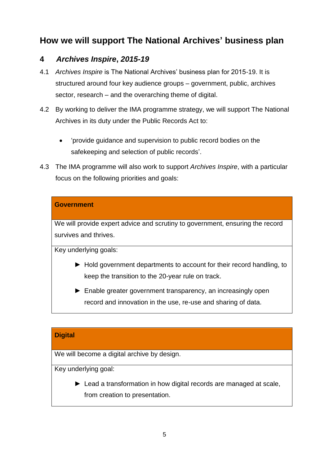# **How we will support The National Archives' business plan**

# **4** *Archives Inspire***,** *2015-19*

- 4.1 *Archives Inspire* is The National Archives' business plan for 2015-19. It is structured around four key audience groups – government, public, archives sector, research – and the overarching theme of digital.
- 4.2 By working to deliver the IMA programme strategy, we will support The National Archives in its duty under the Public Records Act to:
	- 'provide guidance and supervision to public record bodies on the safekeeping and selection of public records'.
- 4.3 The IMA programme will also work to support *Archives Inspire*, with a particular focus on the following priorities and goals:

#### **Government**

We will provide expert advice and scrutiny to government, ensuring the record survives and thrives.

Key underlying goals:

- ► Hold government departments to account for their record handling, to keep the transition to the 20-year rule on track.
- ► Enable greater government transparency, an increasingly open record and innovation in the use, re-use and sharing of data.

#### **Digital**

We will become a digital archive by design.

Key underlying goal:

► Lead a transformation in how digital records are managed at scale, from creation to presentation.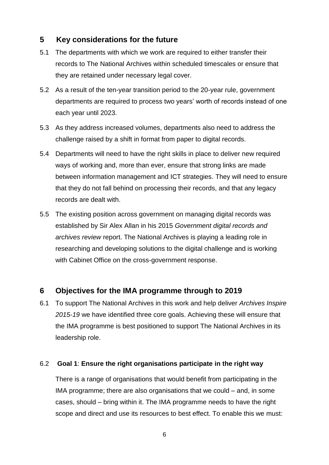# **5 Key considerations for the future**

- 5.1 The departments with which we work are required to either transfer their records to The National Archives within scheduled timescales or ensure that they are retained under necessary legal cover.
- 5.2 As a result of the ten-year transition period to the 20-year rule, government departments are required to process two years' worth of records instead of one each year until 2023.
- 5.3 As they address increased volumes, departments also need to address the challenge raised by a shift in format from paper to digital records.
- 5.4 Departments will need to have the right skills in place to deliver new required ways of working and, more than ever, ensure that strong links are made between information management and ICT strategies. They will need to ensure that they do not fall behind on processing their records, and that any legacy records are dealt with.
- 5.5 The existing position across government on managing digital records was established by Sir Alex Allan in his 2015 *Government digital records and archives review* report. The National Archives is playing a leading role in researching and developing solutions to the digital challenge and is working with Cabinet Office on the cross-government response.

# **6 Objectives for the IMA programme through to 2019**

6.1 To support The National Archives in this work and help deliver *Archives Inspire 2015-19* we have identified three core goals. Achieving these will ensure that the IMA programme is best positioned to support The National Archives in its leadership role.

#### 6.2 **Goal 1**: **Ensure the right organisations participate in the right way**

There is a range of organisations that would benefit from participating in the IMA programme; there are also organisations that we could – and, in some cases, should – bring within it. The IMA programme needs to have the right scope and direct and use its resources to best effect. To enable this we must: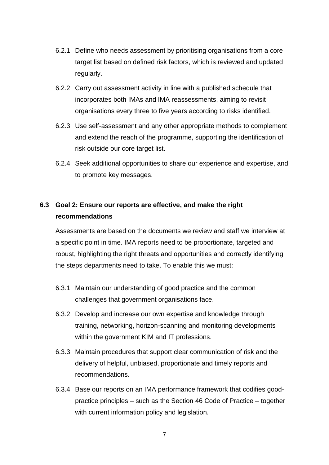- 6.2.1 Define who needs assessment by prioritising organisations from a core target list based on defined risk factors, which is reviewed and updated regularly.
- 6.2.2 Carry out assessment activity in line with a published schedule that incorporates both IMAs and IMA reassessments, aiming to revisit organisations every three to five years according to risks identified.
- 6.2.3 Use self-assessment and any other appropriate methods to complement and extend the reach of the programme, supporting the identification of risk outside our core target list.
- 6.2.4 Seek additional opportunities to share our experience and expertise, and to promote key messages.

# **6.3 Goal 2: Ensure our reports are effective, and make the right recommendations**

Assessments are based on the documents we review and staff we interview at a specific point in time. IMA reports need to be proportionate, targeted and robust, highlighting the right threats and opportunities and correctly identifying the steps departments need to take. To enable this we must:

- 6.3.1 Maintain our understanding of good practice and the common challenges that government organisations face.
- 6.3.2 Develop and increase our own expertise and knowledge through training, networking, horizon-scanning and monitoring developments within the government KIM and IT professions.
- 6.3.3 Maintain procedures that support clear communication of risk and the delivery of helpful, unbiased, proportionate and timely reports and recommendations.
- 6.3.4 Base our reports on an IMA performance framework that codifies goodpractice principles – such as the Section 46 Code of Practice – together with current information policy and legislation.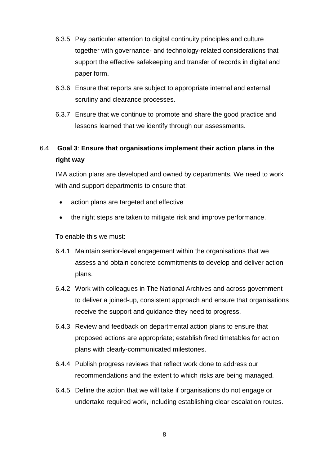- 6.3.5 Pay particular attention to digital continuity principles and culture together with governance- and technology-related considerations that support the effective safekeeping and transfer of records in digital and paper form.
- 6.3.6 Ensure that reports are subject to appropriate internal and external scrutiny and clearance processes.
- 6.3.7 Ensure that we continue to promote and share the good practice and lessons learned that we identify through our assessments.

# 6.4 **Goal 3**: **Ensure that organisations implement their action plans in the right way**

IMA action plans are developed and owned by departments. We need to work with and support departments to ensure that:

- action plans are targeted and effective
- the right steps are taken to mitigate risk and improve performance.

To enable this we must:

- 6.4.1 Maintain senior-level engagement within the organisations that we assess and obtain concrete commitments to develop and deliver action plans.
- 6.4.2 Work with colleagues in The National Archives and across government to deliver a joined-up, consistent approach and ensure that organisations receive the support and guidance they need to progress.
- 6.4.3 Review and feedback on departmental action plans to ensure that proposed actions are appropriate; establish fixed timetables for action plans with clearly-communicated milestones.
- 6.4.4 Publish progress reviews that reflect work done to address our recommendations and the extent to which risks are being managed.
- 6.4.5 Define the action that we will take if organisations do not engage or undertake required work, including establishing clear escalation routes.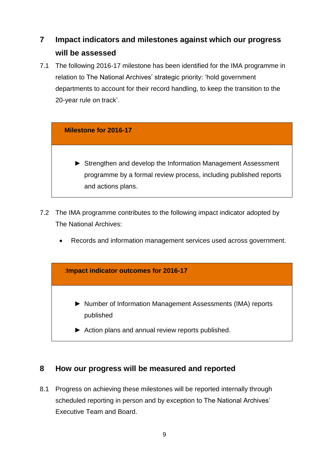# **7 Impact indicators and milestones against which our progress will be assessed**

7.1 The following 2016-17 milestone has been identified for the IMA programme in relation to The National Archives' strategic priority: 'hold government departments to account for their record handling, to keep the transition to the 20-year rule on track'.

#### **Milestone for 2016-17**

- ► Strengthen and develop the Information Management Assessment programme by a formal review process, including published reports and actions plans.
- 7.2 The IMA programme contributes to the following impact indicator adopted by The National Archives:
	- Records and information management services used across government.



# **8 How our progress will be measured and reported**

8.1 Progress on achieving these milestones will be reported internally through scheduled reporting in person and by exception to The National Archives' Executive Team and Board.